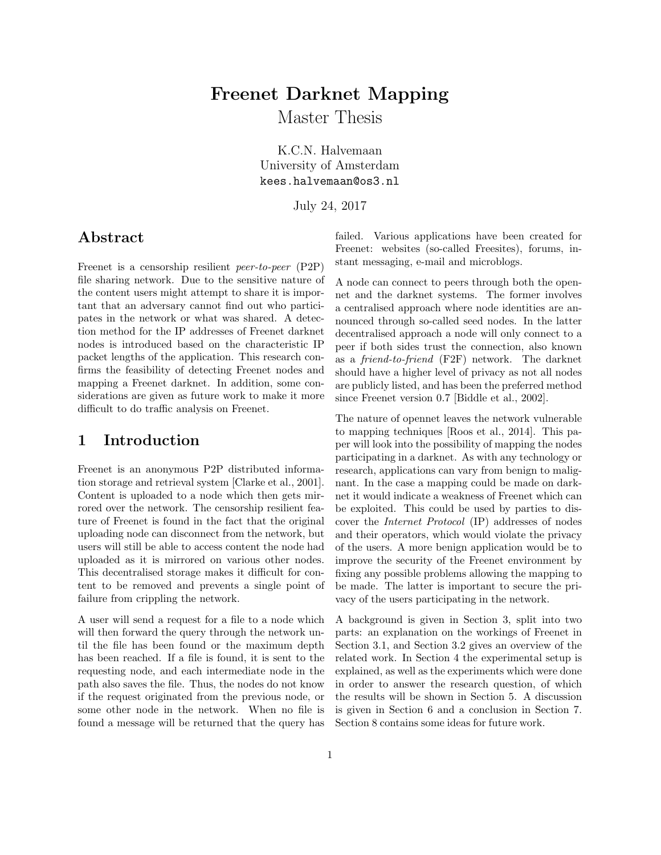# <span id="page-0-0"></span>Freenet Darknet Mapping

Master Thesis

K.C.N. Halvemaan University of Amsterdam kees.halvemaan@os3.nl

July 24, 2017

# Abstract

Freenet is a censorship resilient [peer-to-peer](#page-12-0) (P2P) file sharing network. Due to the sensitive nature of the content users might attempt to share it is important that an adversary cannot find out who participates in the network or what was shared. A detection method for the IP addresses of Freenet darknet nodes is introduced based on the characteristic IP packet lengths of the application. This research confirms the feasibility of detecting Freenet nodes and mapping a Freenet darknet. In addition, some considerations are given as future work to make it more difficult to do traffic analysis on Freenet.

### 1 Introduction

Freenet is an anonymous [P2P](#page-12-0) distributed information storage and retrieval system [\[Clarke et al., 2001\]](#page-13-0). Content is uploaded to a node which then gets mirrored over the network. The censorship resilient feature of Freenet is found in the fact that the original uploading node can disconnect from the network, but users will still be able to access content the node had uploaded as it is mirrored on various other nodes. This decentralised storage makes it difficult for content to be removed and prevents a single point of failure from crippling the network.

A user will send a request for a file to a node which will then forward the query through the network until the file has been found or the maximum depth has been reached. If a file is found, it is sent to the requesting node, and each intermediate node in the path also saves the file. Thus, the nodes do not know if the request originated from the previous node, or some other node in the network. When no file is found a message will be returned that the query has failed. Various applications have been created for Freenet: websites (so-called Freesites), forums, instant messaging, e-mail and microblogs.

A node can connect to peers through both the opennet and the darknet systems. The former involves a centralised approach where node identities are announced through so-called seed nodes. In the latter decentralised approach a node will only connect to a peer if both sides trust the connection, also known as a [friend-to-friend](#page-12-1) (F2F) network. The darknet should have a higher level of privacy as not all nodes are publicly listed, and has been the preferred method since Freenet version 0.7 [\[Biddle et al., 2002\]](#page-13-1).

The nature of opennet leaves the network vulnerable to mapping techniques [\[Roos et al., 2014\]](#page-14-0). This paper will look into the possibility of mapping the nodes participating in a darknet. As with any technology or research, applications can vary from benign to malignant. In the case a mapping could be made on darknet it would indicate a weakness of Freenet which can be exploited. This could be used by parties to discover the [Internet Protocol](#page-12-2) (IP) addresses of nodes and their operators, which would violate the privacy of the users. A more benign application would be to improve the security of the Freenet environment by fixing any possible problems allowing the mapping to be made. The latter is important to secure the privacy of the users participating in the network.

A background is given in Section [3,](#page-1-0) split into two parts: an explanation on the workings of Freenet in Section [3.1,](#page-1-1) and Section [3.2](#page-2-0) gives an overview of the related work. In Section [4](#page-4-0) the experimental setup is explained, as well as the experiments which were done in order to answer the research question, of which the results will be shown in Section [5.](#page-8-0) A discussion is given in Section [6](#page-8-1) and a conclusion in Section [7.](#page-11-0) Section [8](#page-11-1) contains some ideas for future work.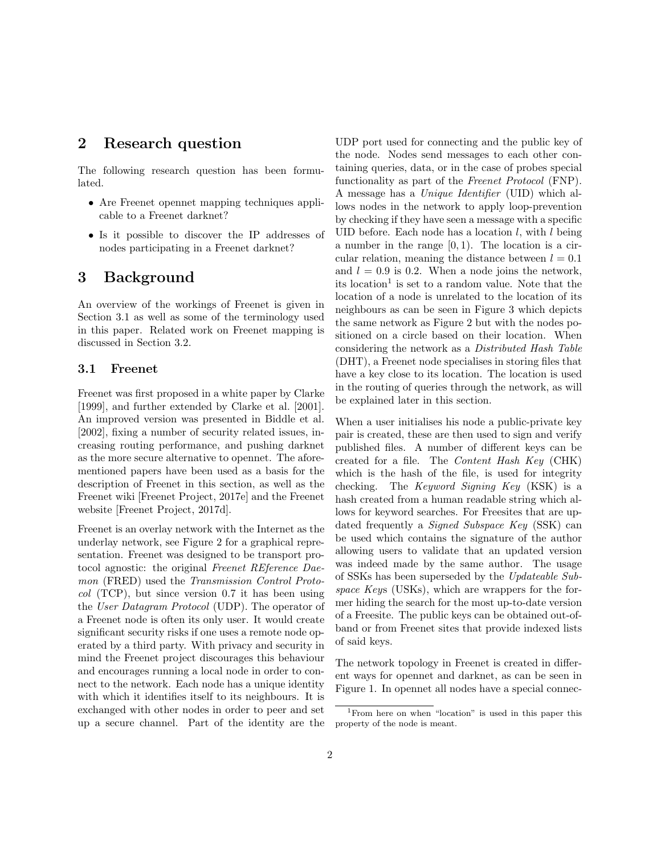### <span id="page-1-3"></span>2 Research question

The following research question has been formulated.

- Are Freenet opennet mapping techniques applicable to a Freenet darknet?
- Is it possible to discover the [IP](#page-12-2) addresses of nodes participating in a Freenet darknet?

### <span id="page-1-0"></span>3 Background

An overview of the workings of Freenet is given in Section [3.1](#page-1-1) as well as some of the terminology used in this paper. Related work on Freenet mapping is discussed in Section [3.2.](#page-2-0)

#### <span id="page-1-1"></span>3.1 Freenet

Freenet was first proposed in a white paper by [Clarke](#page-13-2) [\[1999\]](#page-13-2), and further extended by [Clarke et al.](#page-13-0) [\[2001\]](#page-13-0). An improved version was presented in [Biddle et al.](#page-13-1) [\[2002\]](#page-13-1), fixing a number of security related issues, increasing routing performance, and pushing darknet as the more secure alternative to opennet. The aforementioned papers have been used as a basis for the description of Freenet in this section, as well as the Freenet wiki [\[Freenet Project, 2017e\]](#page-14-1) and the Freenet website [\[Freenet Project, 2017d\]](#page-14-2).

Freenet is an overlay network with the Internet as the underlay network, see Figure [2](#page-2-1) for a graphical representation. Freenet was designed to be transport protocol agnostic: the original [Freenet REference Dae](#page-12-3)mon [\(FRED\)](#page-12-3) used the [Transmission Control Proto](#page-13-3) $col$  [\(TCP\),](#page-13-3) but since version 0.7 it has been using the [User Datagram Protocol](#page-13-4) (UDP). The operator of a Freenet node is often its only user. It would create significant security risks if one uses a remote node operated by a third party. With privacy and security in mind the Freenet project discourages this behaviour and encourages running a local node in order to connect to the network. Each node has a unique identity with which it identifies itself to its neighbours. It is exchanged with other nodes in order to peer and set up a secure channel. Part of the identity are the [UDP](#page-13-4) port used for connecting and the public key of the node. Nodes send messages to each other containing queries, data, or in the case of probes special functionality as part of the [Freenet Protocol](#page-12-4) (FNP). A message has a [Unique Identifier](#page-13-5) (UID) which allows nodes in the network to apply loop-prevention by checking if they have seen a message with a specific [UID](#page-13-5) before. Each node has a location  $l$ , with  $l$  being a number in the range  $[0, 1)$ . The location is a circular relation, meaning the distance between  $l = 0.1$ and  $l = 0.9$  is 0.2. When a node joins the network, its location<sup>[1](#page-1-2)</sup> is set to a random value. Note that the location of a node is unrelated to the location of its neighbours as can be seen in Figure [3](#page-3-0) which depicts the same network as Figure [2](#page-2-1) but with the nodes positioned on a circle based on their location. When considering the network as a [Distributed Hash Table](#page-12-5) [\(DHT\),](#page-12-5) a Freenet node specialises in storing files that have a key close to its location. The location is used in the routing of queries through the network, as will be explained later in this section.

When a user initialises his node a public-private key pair is created, these are then used to sign and verify published files. A number of different keys can be created for a file. The [Content Hash Key](#page-12-6) (CHK) which is the hash of the file, is used for integrity checking. The [Keyword Signing Key](#page-12-7) (KSK) is a hash created from a human readable string which allows for keyword searches. For Freesites that are updated frequently a [Signed Subspace Key](#page-12-8) (SSK) can be used which contains the signature of the author allowing users to validate that an updated version was indeed made by the same author. The usage of [SSKs](#page-12-8) has been superseded by the [Updateable Sub](#page-13-6)[space Key](#page-13-6)s (USKs), which are wrappers for the former hiding the search for the most up-to-date version of a Freesite. The public keys can be obtained out-ofband or from Freenet sites that provide indexed lists of said keys.

The network topology in Freenet is created in different ways for opennet and darknet, as can be seen in Figure [1.](#page-2-2) In opennet all nodes have a special connec-

<span id="page-1-2"></span><sup>&</sup>lt;sup>1</sup>From here on when "location" is used in this paper this property of the node is meant.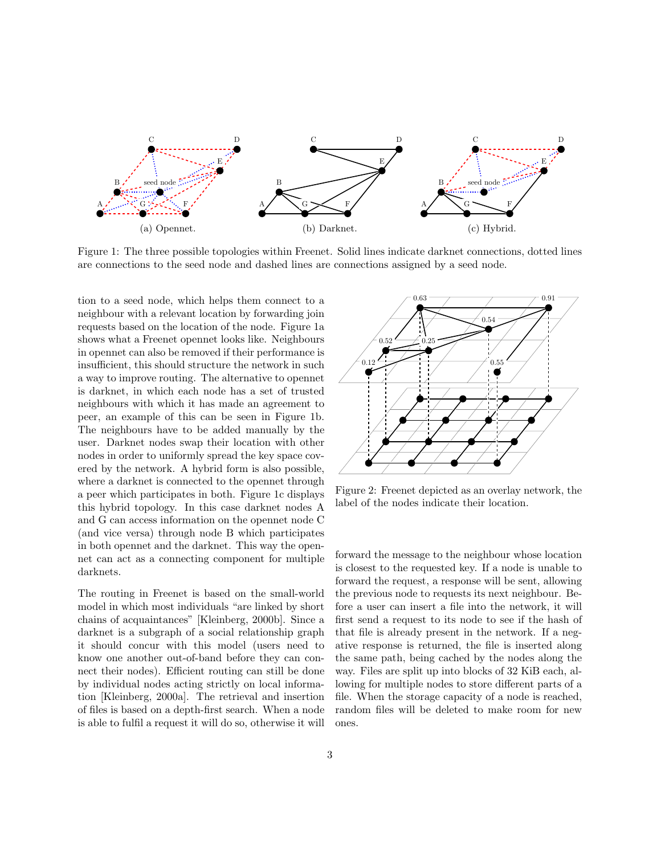<span id="page-2-2"></span>

Figure 1: The three possible topologies within Freenet. Solid lines indicate darknet connections, dotted lines are connections to the seed node and dashed lines are connections assigned by a seed node.

tion to a seed node, which helps them connect to a neighbour with a relevant location by forwarding join requests based on the location of the node. Figure [1a](#page-2-2) shows what a Freenet opennet looks like. Neighbours in opennet can also be removed if their performance is insufficient, this should structure the network in such a way to improve routing. The alternative to opennet is darknet, in which each node has a set of trusted neighbours with which it has made an agreement to peer, an example of this can be seen in Figure [1b.](#page-2-2) The neighbours have to be added manually by the user. Darknet nodes swap their location with other nodes in order to uniformly spread the key space covered by the network. A hybrid form is also possible, where a darknet is connected to the opennet through a peer which participates in both. Figure [1c](#page-2-2) displays this hybrid topology. In this case darknet nodes A and G can access information on the opennet node C (and vice versa) through node B which participates in both opennet and the darknet. This way the opennet can act as a connecting component for multiple darknets.

The routing in Freenet is based on the small-world model in which most individuals "are linked by short chains of acquaintances" [\[Kleinberg, 2000b\]](#page-14-3). Since a darknet is a subgraph of a social relationship graph it should concur with this model (users need to know one another out-of-band before they can connect their nodes). Efficient routing can still be done by individual nodes acting strictly on local information [\[Kleinberg, 2000a\]](#page-14-4). The retrieval and insertion of files is based on a depth-first search. When a node is able to fulfil a request it will do so, otherwise it will

<span id="page-2-1"></span>

Figure 2: Freenet depicted as an overlay network, the label of the nodes indicate their location.

<span id="page-2-0"></span>forward the message to the neighbour whose location is closest to the requested key. If a node is unable to forward the request, a response will be sent, allowing the previous node to requests its next neighbour. Before a user can insert a file into the network, it will first send a request to its node to see if the hash of that file is already present in the network. If a negative response is returned, the file is inserted along the same path, being cached by the nodes along the way. Files are split up into blocks of 32 KiB each, allowing for multiple nodes to store different parts of a file. When the storage capacity of a node is reached, random files will be deleted to make room for new ones.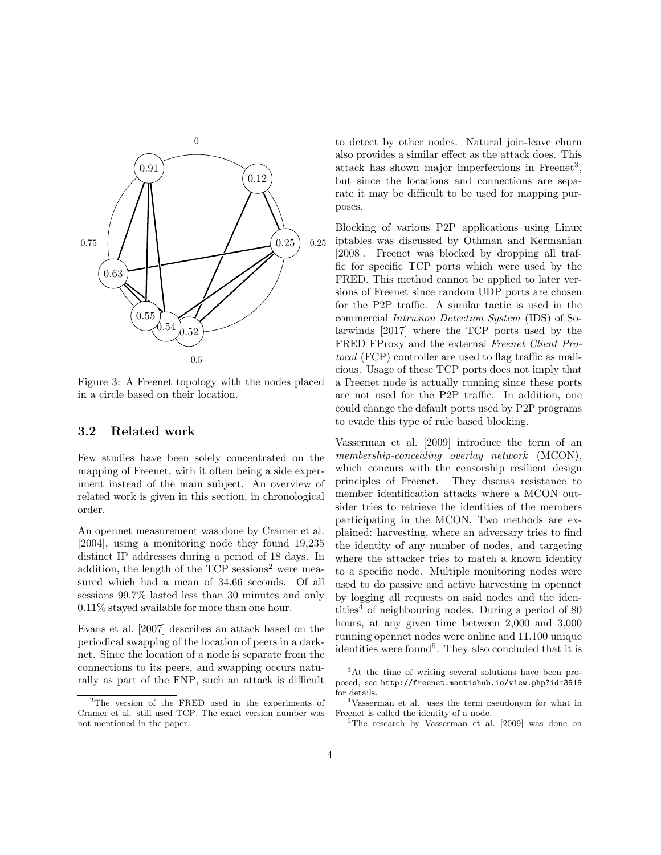<span id="page-3-5"></span><span id="page-3-0"></span>

Figure 3: A Freenet topology with the nodes placed in a circle based on their location.

#### 3.2 Related work

Few studies have been solely concentrated on the mapping of Freenet, with it often being a side experiment instead of the main subject. An overview of related work is given in this section, in chronological order.

An opennet measurement was done by [Cramer et al.](#page-13-7) [\[2004\]](#page-13-7), using a monitoring node they found 19,235 distinct [IP](#page-12-2) addresses during a period of 18 days. In addition, the length of the  $TCP$  sessions<sup>[2](#page-3-1)</sup> were measured which had a mean of 34.66 seconds. Of all sessions 99.7% lasted less than 30 minutes and only 0.11% stayed available for more than one hour.

[Evans et al.](#page-13-8) [\[2007\]](#page-13-8) describes an attack based on the periodical swapping of the location of peers in a darknet. Since the location of a node is separate from the connections to its peers, and swapping occurs naturally as part of the [FNP,](#page-12-4) such an attack is difficult to detect by other nodes. Natural join-leave churn also provides a similar effect as the attack does. This attack has shown major imperfections in Freenet<sup>[3](#page-3-2)</sup>, but since the locations and connections are separate it may be difficult to be used for mapping purposes.

Blocking of various [P2P](#page-12-0) applications using Linux iptables was discussed by [Othman and Kermanian](#page-14-5) [\[2008\]](#page-14-5). Freenet was blocked by dropping all traffic for specific [TCP](#page-13-3) ports which were used by the [FRED.](#page-12-3) This method cannot be applied to later versions of Freenet since random [UDP](#page-13-4) ports are chosen for the [P2P](#page-12-0) traffic. A similar tactic is used in the commercial [Intrusion Detection System](#page-12-9) (IDS) of [So](#page-14-6)[larwinds](#page-14-6) [\[2017\]](#page-14-6) where the [TCP](#page-13-3) ports used by the [FRED](#page-12-3) FProxy and the external [Freenet Client Pro](#page-12-10)tocol [\(FCP\)](#page-12-10) controller are used to flag traffic as malicious. Usage of these [TCP](#page-13-3) ports does not imply that a Freenet node is actually running since these ports are not used for the [P2P](#page-12-0) traffic. In addition, one could change the default ports used by [P2P](#page-12-0) programs to evade this type of rule based blocking.

[Vasserman et al.](#page-14-7) [\[2009\]](#page-14-7) introduce the term of an [membership-concealing overlay network](#page-12-11) (MCON), which concurs with the censorship resilient design principles of Freenet. They discuss resistance to member identification attacks where a [MCON](#page-12-11) outsider tries to retrieve the identities of the members participating in the [MCON.](#page-12-11) Two methods are explained: harvesting, where an adversary tries to find the identity of any number of nodes, and targeting where the attacker tries to match a known identity to a specific node. Multiple monitoring nodes were used to do passive and active harvesting in opennet by logging all requests on said nodes and the iden-tities<sup>[4](#page-3-3)</sup> of neighbouring nodes. During a period of 80 hours, at any given time between 2,000 and 3,000 running opennet nodes were online and 11,100 unique identities were found<sup>[5](#page-3-4)</sup>. They also concluded that it is

<span id="page-3-1"></span><sup>2</sup>The version of the [FRED](#page-12-3) used in the experiments of [Cramer et al.](#page-13-7) still used [TCP.](#page-13-3) The exact version number was not mentioned in the paper.

<span id="page-3-2"></span><sup>3</sup>At the time of writing several solutions have been proposed, see <http://freenet.mantishub.io/view.php?id=3919> for details.

<span id="page-3-3"></span><sup>4</sup>[Vasserman et al.](#page-14-7) uses the term pseudonym for what in Freenet is called the identity of a node.

<span id="page-3-4"></span><sup>5</sup>The research by [Vasserman et al.](#page-14-7) [\[2009\]](#page-14-7) was done on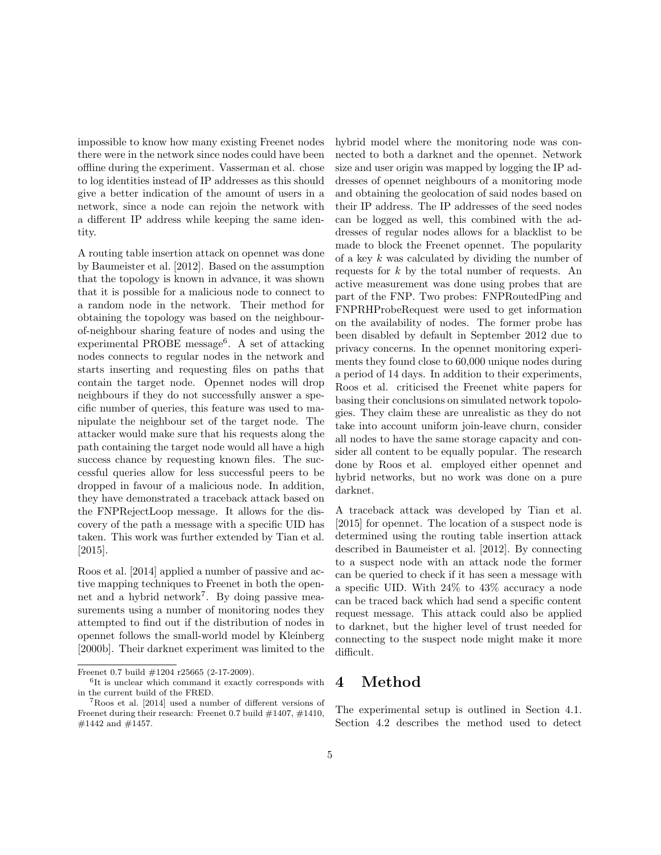<span id="page-4-3"></span>impossible to know how many existing Freenet nodes there were in the network since nodes could have been offline during the experiment. [Vasserman et al.](#page-14-7) chose to log identities instead of [IP](#page-12-2) addresses as this should give a better indication of the amount of users in a network, since a node can rejoin the network with a different [IP](#page-12-2) address while keeping the same identity.

A routing table insertion attack on opennet was done by [Baumeister et al.](#page-13-9) [\[2012\]](#page-13-9). Based on the assumption that the topology is known in advance, it was shown that it is possible for a malicious node to connect to a random node in the network. Their method for obtaining the topology was based on the neighbourof-neighbour sharing feature of nodes and using the experimental PROBE message<sup>[6](#page-4-1)</sup>. A set of attacking nodes connects to regular nodes in the network and starts inserting and requesting files on paths that contain the target node. Opennet nodes will drop neighbours if they do not successfully answer a specific number of queries, this feature was used to manipulate the neighbour set of the target node. The attacker would make sure that his requests along the path containing the target node would all have a high success chance by requesting known files. The successful queries allow for less successful peers to be dropped in favour of a malicious node. In addition, they have demonstrated a traceback attack based on the FNPRejectLoop message. It allows for the discovery of the path a message with a specific [UID](#page-13-5) has taken. This work was further extended by [Tian et al.](#page-14-8) [\[2015\]](#page-14-8).

[Roos et al.](#page-14-0) [\[2014\]](#page-14-0) applied a number of passive and active mapping techniques to Freenet in both the open-net and a hybrid network<sup>[7](#page-4-2)</sup>. By doing passive measurements using a number of monitoring nodes they attempted to find out if the distribution of nodes in opennet follows the small-world model by [Kleinberg](#page-14-3) [\[2000b\]](#page-14-3). Their darknet experiment was limited to the

Freenet 0.7 build #1204 r25665 (2-17-2009).

hybrid model where the monitoring node was connected to both a darknet and the opennet. Network size and user origin was mapped by logging the [IP](#page-12-2) addresses of opennet neighbours of a monitoring mode and obtaining the geolocation of said nodes based on their [IP](#page-12-2) address. The [IP](#page-12-2) addresses of the seed nodes can be logged as well, this combined with the addresses of regular nodes allows for a blacklist to be made to block the Freenet opennet. The popularity of a key k was calculated by dividing the number of requests for k by the total number of requests. An active measurement was done using probes that are part of the [FNP.](#page-12-4) Two probes: FNPRoutedPing and FNPRHProbeRequest were used to get information on the availability of nodes. The former probe has been disabled by default in September 2012 due to privacy concerns. In the opennet monitoring experiments they found close to 60,000 unique nodes during a period of 14 days. In addition to their experiments, [Roos et al.](#page-14-0) criticised the Freenet white papers for basing their conclusions on simulated network topologies. They claim these are unrealistic as they do not take into account uniform join-leave churn, consider all nodes to have the same storage capacity and consider all content to be equally popular. The research done by [Roos et al.](#page-14-0) employed either opennet and hybrid networks, but no work was done on a pure darknet.

A traceback attack was developed by [Tian et al.](#page-14-8) [\[2015\]](#page-14-8) for opennet. The location of a suspect node is determined using the routing table insertion attack described in [Baumeister et al.](#page-13-9) [\[2012\]](#page-13-9). By connecting to a suspect node with an attack node the former can be queried to check if it has seen a message with a specific [UID.](#page-13-5) With 24% to 43% accuracy a node can be traced back which had send a specific content request message. This attack could also be applied to darknet, but the higher level of trust needed for connecting to the suspect node might make it more difficult.

# <span id="page-4-0"></span>4 Method

The experimental setup is outlined in Section [4.1.](#page-5-0) Section [4.2](#page-5-1) describes the method used to detect

<span id="page-4-1"></span><sup>6</sup> It is unclear which command it exactly corresponds with in the current build of the [FRED.](#page-12-3)

<span id="page-4-2"></span><sup>7</sup>[Roos et al. \[2014\]](#page-14-0) used a number of different versions of Freenet during their research: Freenet 0.7 build  $\#1407, \#1410,$ #1442 and #1457.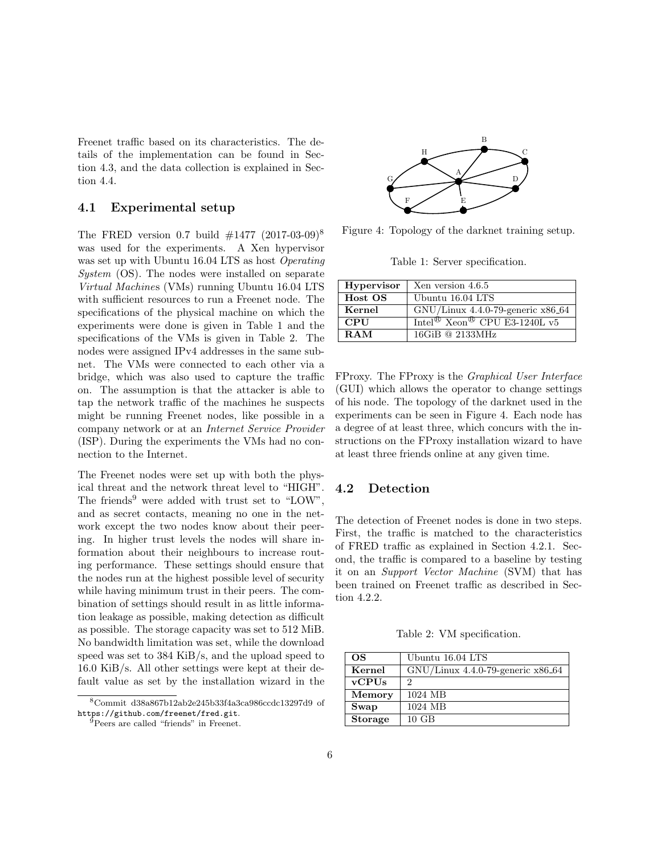<span id="page-5-8"></span>Freenet traffic based on its characteristics. The details of the implementation can be found in Section [4.3,](#page-8-2) and the data collection is explained in Section [4.4.](#page-8-3)

#### <span id="page-5-0"></span>4.1 Experimental setup

The [FRED](#page-12-3) version 0.7 build  $#1477$  (2017-03-09)<sup>[8](#page-5-2)</sup> was used for the experiments. A Xen hypervisor was set up with Ubuntu 16.04 LTS as host [Operating](#page-12-12) [System](#page-12-12) (OS). The nodes were installed on separate [Virtual Machine](#page-13-10)s (VMs) running Ubuntu 16.04 LTS with sufficient resources to run a Freenet node. The specifications of the physical machine on which the experiments were done is given in Table [1](#page-5-3) and the specifications of the [VMs](#page-13-10) is given in Table [2.](#page-5-4) The nodes were assigned IPv4 addresses in the same subnet. The [VMs](#page-13-10) were connected to each other via a bridge, which was also used to capture the traffic on. The assumption is that the attacker is able to tap the network traffic of the machines he suspects might be running Freenet nodes, like possible in a company network or at an [Internet Service Provider](#page-12-13) [\(ISP\).](#page-12-13) During the experiments the [VMs](#page-13-10) had no connection to the Internet.

The Freenet nodes were set up with both the physical threat and the network threat level to "HIGH". The friends<sup>[9](#page-5-5)</sup> were added with trust set to "LOW", and as secret contacts, meaning no one in the network except the two nodes know about their peering. In higher trust levels the nodes will share information about their neighbours to increase routing performance. These settings should ensure that the nodes run at the highest possible level of security while having minimum trust in their peers. The combination of settings should result in as little information leakage as possible, making detection as difficult as possible. The storage capacity was set to 512 MiB. No bandwidth limitation was set, while the download speed was set to 384 KiB/s, and the upload speed to 16.0 KiB/s. All other settings were kept at their default value as set by the installation wizard in the

<span id="page-5-6"></span>

<span id="page-5-3"></span>Figure 4: Topology of the darknet training setup.

Table 1: Server specification.

| <b>Hypervisor</b> | Xen version 4.6.5                                    |
|-------------------|------------------------------------------------------|
| Host OS           | Ubuntu 16.04 LTS                                     |
| Kernel            | $GNU/L$ inux 4.4.0-79-generic x86.64                 |
| <b>CPU</b>        | Intel <sup>®</sup> Xeon <sup>®</sup> CPU E3-1240L v5 |
| RAM               | $16GiB \tQ 2133MHz$                                  |
|                   |                                                      |

FProxy. The FProxy is the [Graphical User Interface](#page-12-14) [\(GUI\)](#page-12-14) which allows the operator to change settings of his node. The topology of the darknet used in the experiments can be seen in Figure [4.](#page-5-6) Each node has a degree of at least three, which concurs with the instructions on the FProxy installation wizard to have at least three friends online at any given time.

#### <span id="page-5-1"></span>4.2 Detection

The detection of Freenet nodes is done in two steps. First, the traffic is matched to the characteristics of [FRED](#page-12-3) traffic as explained in Section [4.2.1.](#page-5-7) Second, the traffic is compared to a baseline by testing it on an [Support Vector Machine](#page-12-15) (SVM) that has been trained on Freenet traffic as described in Section [4.2.2.](#page-7-0)

Table 2: [VM](#page-13-10) specification.

<span id="page-5-7"></span><span id="page-5-4"></span>

| <b>OS</b>      | Ubuntu 16.04 LTS                     |
|----------------|--------------------------------------|
| Kernel         | $GNU/L$ inux 4.4.0-79-generic x86_64 |
| $v$ CPUs       | 2                                    |
| Memory         | 1024 MB                              |
| Swap           | 1024 MB                              |
| <b>Storage</b> | $10 \text{ GB}$                      |

<span id="page-5-2"></span><sup>8</sup>Commit d38a867b12ab2e245b33f4a3ca986ccdc13297d9 of <https://github.com/freenet/fred.git>.

<span id="page-5-5"></span><sup>9</sup>Peers are called "friends" in Freenet.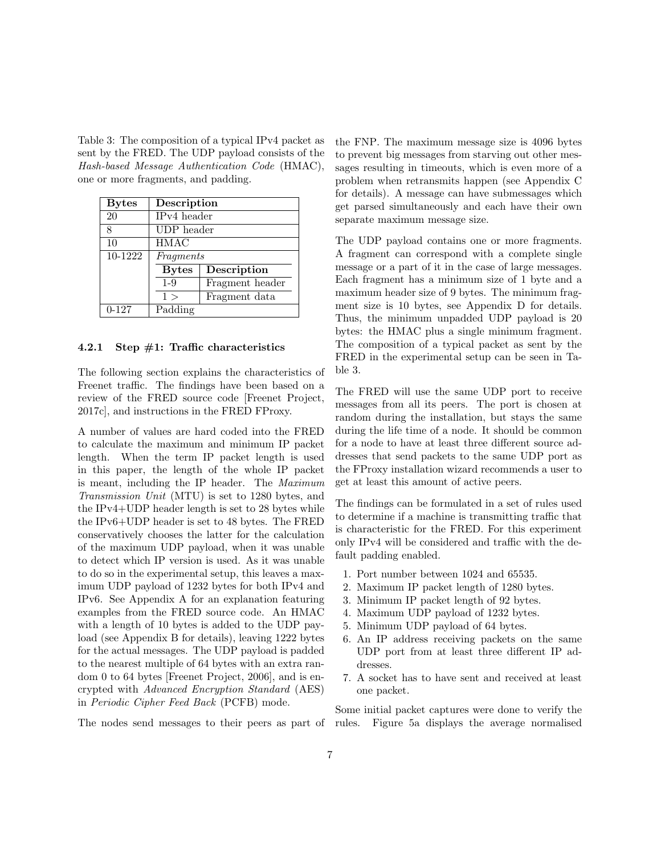<span id="page-6-1"></span><span id="page-6-0"></span>Table 3: The composition of a typical IPv4 packet as sent by the [FRED.](#page-12-3) The [UDP](#page-13-4) payload consists of the [Hash-based Message Authentication Code](#page-12-16) (HMAC), one or more fragments, and padding.

| <b>Bytes</b> | Description                 |                 |  |
|--------------|-----------------------------|-----------------|--|
| 20           | IP <sub>v4</sub> header     |                 |  |
| 8            | UDP header                  |                 |  |
| 10           | <b>HMAC</b>                 |                 |  |
| $10-1222$    | Fragments                   |                 |  |
|              | Description<br><b>Bytes</b> |                 |  |
|              | $1 - 9$                     | Fragment header |  |
|              | Fragment data<br>1 >        |                 |  |
| $0 - 127$    | Padding                     |                 |  |

#### 4.2.1 Step  $\#1$ : Traffic characteristics

The following section explains the characteristics of Freenet traffic. The findings have been based on a review of the [FRED](#page-12-3) source code [\[Freenet Project,](#page-14-9) [2017c\]](#page-14-9), and instructions in the [FRED](#page-12-3) FProxy.

A number of values are hard coded into the [FRED](#page-12-3) to calculate the maximum and minimum [IP](#page-12-2) packet length. When the term [IP](#page-12-2) packet length is used in this paper, the length of the whole [IP](#page-12-2) packet is meant, including the [IP](#page-12-2) header. The [Maximum](#page-12-17) [Transmission Unit](#page-12-17) (MTU) is set to 1280 bytes, and the IPv4[+UDP](#page-13-4) header length is set to 28 bytes while the IPv6[+UDP](#page-13-4) header is set to 48 bytes. The [FRED](#page-12-3) conservatively chooses the latter for the calculation of the maximum [UDP](#page-13-4) payload, when it was unable to detect which [IP](#page-12-2) version is used. As it was unable to do so in the experimental setup, this leaves a maximum [UDP](#page-13-4) payload of 1232 bytes for both IPv4 and IPv6. See Appendix [A](#page-15-0) for an explanation featuring examples from the [FRED](#page-12-3) source code. An [HMAC](#page-12-16) with a length of 10 bytes is added to the [UDP](#page-13-4) payload (see Appendix [B](#page-16-0) for details), leaving 1222 bytes for the actual messages. The [UDP](#page-13-4) payload is padded to the nearest multiple of 64 bytes with an extra random 0 to 64 bytes [\[Freenet Project, 2006\]](#page-13-11), and is encrypted with [Advanced Encryption Standard](#page-12-18) (AES) in [Periodic Cipher Feed Back](#page-12-19) (PCFB) mode.

the [FNP.](#page-12-4) The maximum message size is 4096 bytes to prevent big messages from starving out other messages resulting in timeouts, which is even more of a problem when retransmits happen (see Appendix [C](#page-16-1) for details). A message can have submessages which get parsed simultaneously and each have their own separate maximum message size.

The [UDP](#page-13-4) payload contains one or more fragments. A fragment can correspond with a complete single message or a part of it in the case of large messages. Each fragment has a minimum size of 1 byte and a maximum header size of 9 bytes. The minimum fragment size is 10 bytes, see Appendix [D](#page-17-0) for details. Thus, the minimum unpadded [UDP](#page-13-4) payload is 20 bytes: the [HMAC](#page-12-16) plus a single minimum fragment. The composition of a typical packet as sent by the [FRED](#page-12-3) in the experimental setup can be seen in Table [3.](#page-6-0)

The [FRED](#page-12-3) will use the same [UDP](#page-13-4) port to receive messages from all its peers. The port is chosen at random during the installation, but stays the same during the life time of a node. It should be common for a node to have at least three different source addresses that send packets to the same [UDP](#page-13-4) port as the FProxy installation wizard recommends a user to get at least this amount of active peers.

The findings can be formulated in a set of rules used to determine if a machine is transmitting traffic that is characteristic for the [FRED.](#page-12-3) For this experiment only IPv4 will be considered and traffic with the default padding enabled.

- 1. Port number between 1024 and 65535.
- 2. Maximum [IP](#page-12-2) packet length of 1280 bytes.
- 3. Minimum [IP](#page-12-2) packet length of 92 bytes.
- 4. Maximum [UDP](#page-13-4) payload of 1232 bytes.
- 5. Minimum [UDP](#page-13-4) payload of 64 bytes.
- 6. An [IP](#page-12-2) address receiving packets on the same [UDP](#page-13-4) port from at least three different [IP](#page-12-2) addresses.
- 7. A socket has to have sent and received at least one packet.

The nodes send messages to their peers as part of rules. Figure [5a](#page-7-1) displays the average normalised Some initial packet captures were done to verify the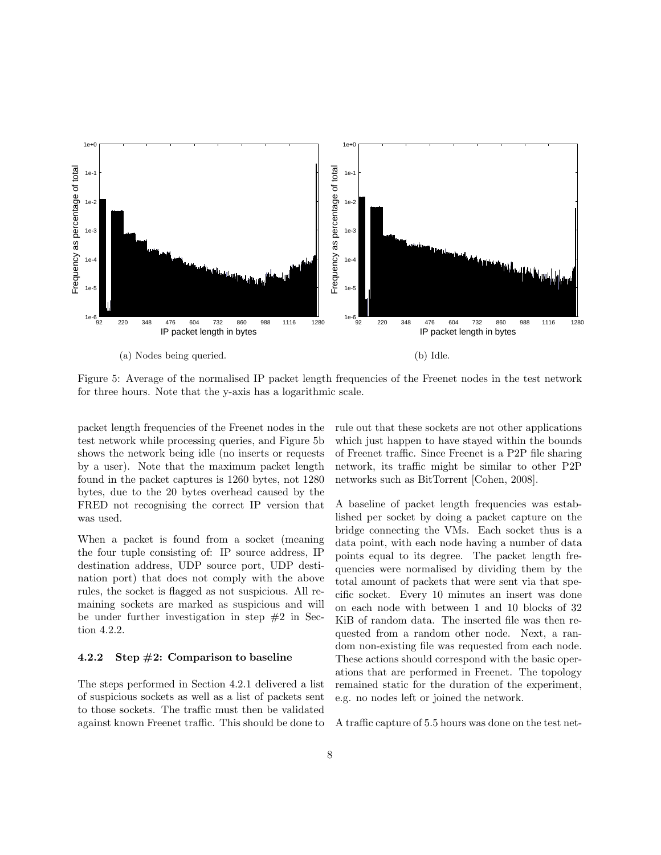<span id="page-7-2"></span><span id="page-7-1"></span>

(a) Nodes being queried.

(b) Idle.

Figure 5: Average of the normalised [IP](#page-12-2) packet length frequencies of the Freenet nodes in the test network for three hours. Note that the y-axis has a logarithmic scale.

packet length frequencies of the Freenet nodes in the test network while processing queries, and Figure [5b](#page-7-1) shows the network being idle (no inserts or requests by a user). Note that the maximum packet length found in the packet captures is 1260 bytes, not 1280 bytes, due to the 20 bytes overhead caused by the [FRED](#page-12-3) not recognising the correct [IP](#page-12-2) version that was used.

When a packet is found from a socket (meaning the four tuple consisting of: [IP](#page-12-2) source address, [IP](#page-12-2) destination address, [UDP](#page-13-4) source port, [UDP](#page-13-4) destination port) that does not comply with the above rules, the socket is flagged as not suspicious. All remaining sockets are marked as suspicious and will be under further investigation in step  $#2$  in Section [4.2.2.](#page-7-0)

#### <span id="page-7-0"></span>4.2.2 Step  $#2$ : Comparison to baseline

The steps performed in Section [4.2.1](#page-5-7) delivered a list of suspicious sockets as well as a list of packets sent to those sockets. The traffic must then be validated against known Freenet traffic. This should be done to rule out that these sockets are not other applications which just happen to have stayed within the bounds of Freenet traffic. Since Freenet is a [P2P](#page-12-0) file sharing network, its traffic might be similar to other [P2P](#page-12-0) networks such as BitTorrent [\[Cohen, 2008\]](#page-13-12).

A baseline of packet length frequencies was established per socket by doing a packet capture on the bridge connecting the [VMs.](#page-13-10) Each socket thus is a data point, with each node having a number of data points equal to its degree. The packet length frequencies were normalised by dividing them by the total amount of packets that were sent via that specific socket. Every 10 minutes an insert was done on each node with between 1 and 10 blocks of 32 KiB of random data. The inserted file was then requested from a random other node. Next, a random non-existing file was requested from each node. These actions should correspond with the basic operations that are performed in Freenet. The topology remained static for the duration of the experiment, e.g. no nodes left or joined the network.

A traffic capture of 5.5 hours was done on the test net-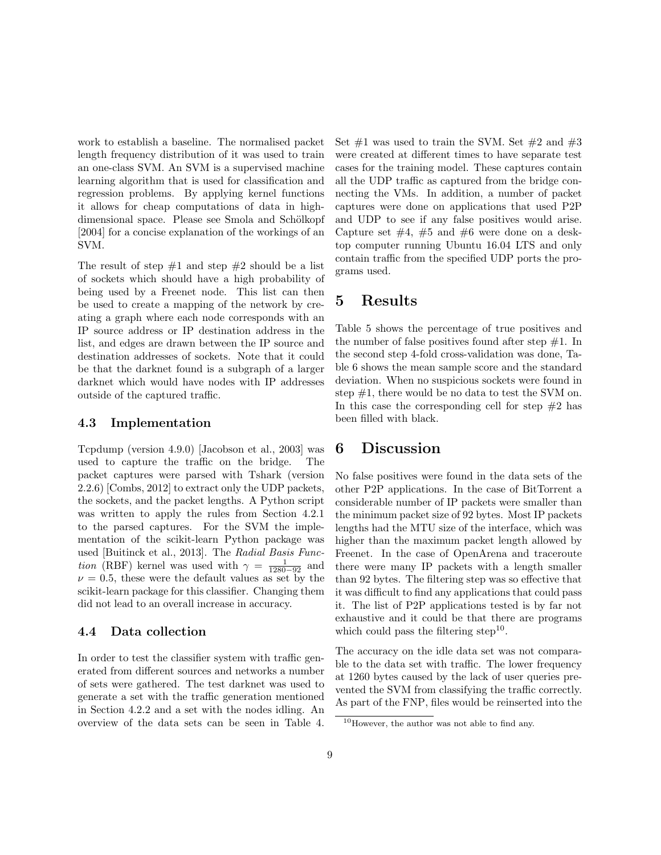<span id="page-8-5"></span>work to establish a baseline. The normalised packet length frequency distribution of it was used to train an one-class [SVM.](#page-12-15) An [SVM](#page-12-15) is a supervised machine learning algorithm that is used for classification and regression problems. By applying kernel functions it allows for cheap computations of data in highdimensional space. Please see Smola and Schölkopf [\[2004\]](#page-14-10) for a concise explanation of the workings of an [SVM.](#page-12-15)

The result of step  $#1$  and step  $#2$  should be a list of sockets which should have a high probability of being used by a Freenet node. This list can then be used to create a mapping of the network by creating a graph where each node corresponds with an [IP](#page-12-2) source address or [IP](#page-12-2) destination address in the list, and edges are drawn between the [IP](#page-12-2) source and destination addresses of sockets. Note that it could be that the darknet found is a subgraph of a larger darknet which would have nodes with [IP](#page-12-2) addresses outside of the captured traffic.

#### <span id="page-8-2"></span>4.3 Implementation

Tcpdump (version 4.9.0) [\[Jacobson et al., 2003\]](#page-14-11) was used to capture the traffic on the bridge. The packet captures were parsed with Tshark (version 2.2.6) [\[Combs, 2012\]](#page-13-13) to extract only the [UDP](#page-13-4) packets, the sockets, and the packet lengths. A Python script was written to apply the rules from Section [4.2.1](#page-5-7) to the parsed captures. For the [SVM](#page-12-15) the implementation of the scikit-learn Python package was used [\[Buitinck et al., 2013\]](#page-13-14). The [Radial Basis Func](#page-12-20)*tion* [\(RBF\)](#page-12-20) kernel was used with  $\gamma = \frac{1}{1280 - 92}$  and  $\nu = 0.5$ , these were the default values as set by the scikit-learn package for this classifier. Changing them did not lead to an overall increase in accuracy.

#### <span id="page-8-3"></span>4.4 Data collection

In order to test the classifier system with traffic generated from different sources and networks a number of sets were gathered. The test darknet was used to generate a set with the traffic generation mentioned in Section [4.2.2](#page-7-0) and a set with the nodes idling. An overview of the data sets can be seen in Table [4.](#page-9-0) Set  $\#1$  was used to train the [SVM.](#page-12-15) Set  $\#2$  and  $\#3$ were created at different times to have separate test cases for the training model. These captures contain all the [UDP](#page-13-4) traffic as captured from the bridge connecting the [VMs.](#page-13-10) In addition, a number of packet captures were done on applications that used [P2P](#page-12-0) and [UDP](#page-13-4) to see if any false positives would arise. Capture set  $\#4$ ,  $\#5$  and  $\#6$  were done on a desktop computer running Ubuntu 16.04 LTS and only contain traffic from the specified [UDP](#page-13-4) ports the programs used.

## <span id="page-8-0"></span>5 Results

Table [5](#page-9-1) shows the percentage of true positives and the number of false positives found after step  $#1$ . In the second step 4-fold cross-validation was done, Table [6](#page-9-2) shows the mean sample score and the standard deviation. When no suspicious sockets were found in step #1, there would be no data to test the [SVM](#page-12-15) on. In this case the corresponding cell for step  $#2$  has been filled with black.

### <span id="page-8-1"></span>6 Discussion

No false positives were found in the data sets of the other [P2P](#page-12-0) applications. In the case of BitTorrent a considerable number of [IP](#page-12-2) packets were smaller than the minimum packet size of 92 bytes. Most [IP](#page-12-2) packets lengths had the [MTU](#page-12-17) size of the interface, which was higher than the maximum packet length allowed by Freenet. In the case of OpenArena and traceroute there were many [IP](#page-12-2) packets with a length smaller than 92 bytes. The filtering step was so effective that it was difficult to find any applications that could pass it. The list of [P2P](#page-12-0) applications tested is by far not exhaustive and it could be that there are programs which could pass the filtering step<sup>[10](#page-8-4)</sup>.

The accuracy on the idle data set was not comparable to the data set with traffic. The lower frequency at 1260 bytes caused by the lack of user queries prevented the [SVM](#page-12-15) from classifying the traffic correctly. As part of the [FNP,](#page-12-4) files would be reinserted into the

<span id="page-8-4"></span> $^{10}\mathrm{However,}$  the author was not able to find any.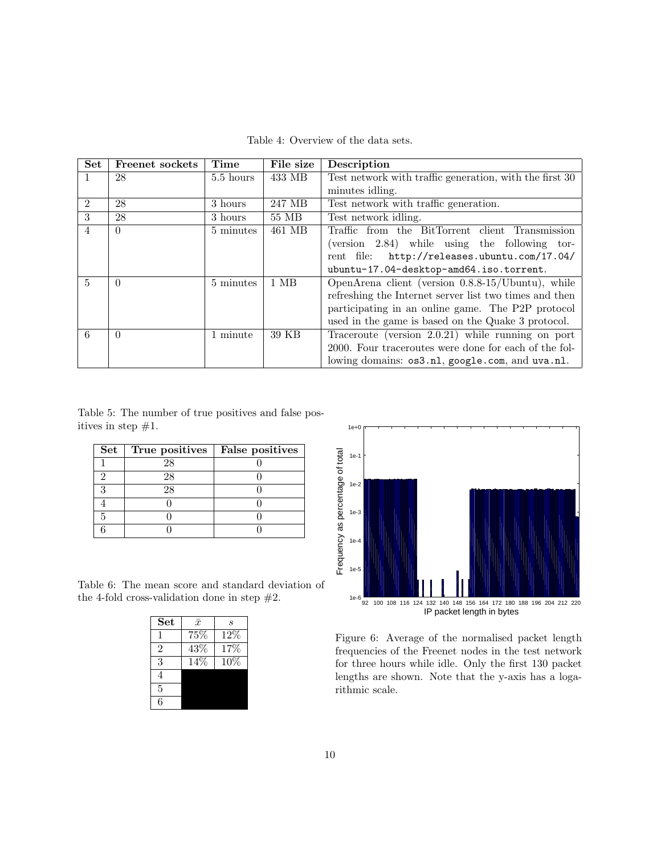Table 4: Overview of the data sets.

<span id="page-9-4"></span><span id="page-9-0"></span>

| <b>Set</b>     | <b>Freenet sockets</b> | Time      | File size | Description                                               |  |
|----------------|------------------------|-----------|-----------|-----------------------------------------------------------|--|
|                | 28                     | 5.5 hours | 433 MB    | Test network with traffic generation, with the first $30$ |  |
|                |                        |           |           | minutes idling.                                           |  |
| $\mathfrak{D}$ | 28                     | 3 hours   | 247 MB    | Test network with traffic generation.                     |  |
| 3              | 28                     | 3 hours   | 55 MB     | Test network idling.                                      |  |
| $\overline{4}$ | $\Omega$               | 5 minutes | 461 MB    | Traffic from the BitTorrent client Transmission           |  |
|                |                        |           |           | $(version 2.84)$ while using the following tor-           |  |
|                |                        |           |           | http://releases.ubuntu.com/17.04/<br>rent file:           |  |
|                |                        |           |           | ubuntu-17.04-desktop-amd64.iso.torrent.                   |  |
| $\overline{5}$ | $\Omega$               | 5 minutes | $1$ MB    | OpenArena client (version 0.8.8-15/Ubuntu), while         |  |
|                |                        |           |           | refreshing the Internet server list two times and then    |  |
|                |                        |           |           | participating in an online game. The P2P protocol         |  |
|                |                        |           |           | used in the game is based on the Quake 3 protocol.        |  |
| 6              | $\Omega$               | 1 minute  | 39 KB     | Traceroute (version $2.0.21$ ) while running on port      |  |
|                |                        |           |           | 2000. Four traceroutes were done for each of the fol-     |  |
|                |                        |           |           | lowing domains: os3.nl, google.com, and uva.nl.           |  |

<span id="page-9-1"></span>Table 5: The number of true positives and false positives in step  $#1$ .

| $\bf Set$ | True positives | False positives |
|-----------|----------------|-----------------|
|           | 28             |                 |
|           | 28             |                 |
|           | 28             |                 |
|           |                |                 |
|           |                |                 |
|           |                |                 |

<span id="page-9-2"></span>Table 6: The mean score and standard deviation of the 4-fold cross-validation done in step  $#2$ .

| <b>Set</b>     | $\bar{x}$ | S      |
|----------------|-----------|--------|
|                | 75%       | 12%    |
| $\overline{2}$ | 43\%      | 17\%   |
| 3              | 14%       | $10\%$ |
| 4              |           |        |
| 5              |           |        |
| 6              |           |        |

<span id="page-9-3"></span>

Figure 6: Average of the normalised packet length frequencies of the Freenet nodes in the test network for three hours while idle. Only the first 130 packet lengths are shown. Note that the y-axis has a logarithmic scale.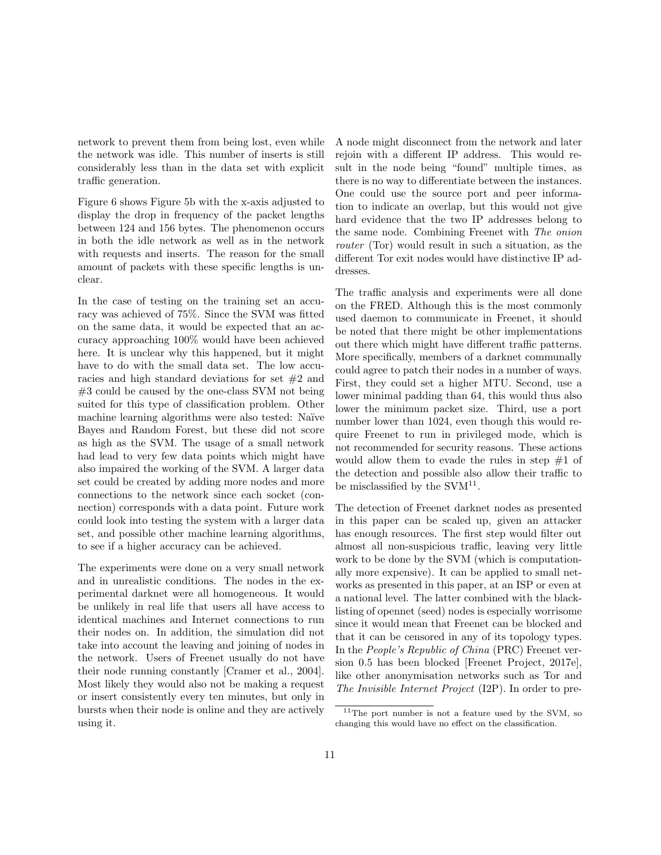<span id="page-10-1"></span>network to prevent them from being lost, even while the network was idle. This number of inserts is still considerably less than in the data set with explicit traffic generation.

Figure [6](#page-9-3) shows Figure [5b](#page-7-1) with the x-axis adjusted to display the drop in frequency of the packet lengths between 124 and 156 bytes. The phenomenon occurs in both the idle network as well as in the network with requests and inserts. The reason for the small amount of packets with these specific lengths is unclear.

In the case of testing on the training set an accuracy was achieved of 75%. Since the [SVM](#page-12-15) was fitted on the same data, it would be expected that an accuracy approaching 100% would have been achieved here. It is unclear why this happened, but it might have to do with the small data set. The low accuracies and high standard deviations for set #2 and #3 could be caused by the one-class [SVM](#page-12-15) not being suited for this type of classification problem. Other machine learning algorithms were also tested: Naïve Bayes and Random Forest, but these did not score as high as the [SVM.](#page-12-15) The usage of a small network had lead to very few data points which might have also impaired the working of the [SVM.](#page-12-15) A larger data set could be created by adding more nodes and more connections to the network since each socket (connection) corresponds with a data point. Future work could look into testing the system with a larger data set, and possible other machine learning algorithms, to see if a higher accuracy can be achieved.

The experiments were done on a very small network and in unrealistic conditions. The nodes in the experimental darknet were all homogeneous. It would be unlikely in real life that users all have access to identical machines and Internet connections to run their nodes on. In addition, the simulation did not take into account the leaving and joining of nodes in the network. Users of Freenet usually do not have their node running constantly [\[Cramer et al., 2004\]](#page-13-7). Most likely they would also not be making a request or insert consistently every ten minutes, but only in bursts when their node is online and they are actively using it.

A node might disconnect from the network and later rejoin with a different [IP](#page-12-2) address. This would result in the node being "found" multiple times, as there is no way to differentiate between the instances. One could use the source port and peer information to indicate an overlap, but this would not give hard evidence that the two [IP](#page-12-2) addresses belong to the same node. Combining Freenet with [The onion](#page-13-15) [router](#page-13-15) (Tor) would result in such a situation, as the different [Tor](#page-13-15) exit nodes would have distinctive [IP](#page-12-2) addresses.

The traffic analysis and experiments were all done on the [FRED.](#page-12-3) Although this is the most commonly used daemon to communicate in Freenet, it should be noted that there might be other implementations out there which might have different traffic patterns. More specifically, members of a darknet communally could agree to patch their nodes in a number of ways. First, they could set a higher [MTU.](#page-12-17) Second, use a lower minimal padding than 64, this would thus also lower the minimum packet size. Third, use a port number lower than 1024, even though this would require Freenet to run in privileged mode, which is not recommended for security reasons. These actions would allow them to evade the rules in step  $#1$  of the detection and possible also allow their traffic to be misclassified by the  $\text{SVM}^{11}$  $\text{SVM}^{11}$  $\text{SVM}^{11}$ .

The detection of Freenet darknet nodes as presented in this paper can be scaled up, given an attacker has enough resources. The first step would filter out almost all non-suspicious traffic, leaving very little work to be done by the [SVM](#page-12-15) (which is computationally more expensive). It can be applied to small networks as presented in this paper, at an [ISP](#page-12-13) or even at a national level. The latter combined with the blacklisting of opennet (seed) nodes is especially worrisome since it would mean that Freenet can be blocked and that it can be censored in any of its topology types. In the [People's Republic of China](#page-12-21) (PRC) Freenet version 0.5 has been blocked [\[Freenet Project, 2017e\]](#page-14-1), like other anonymisation networks such as [Tor](#page-13-15) and [The Invisible Internet Project](#page-12-22) (I2P). In order to pre-

<span id="page-10-0"></span> $11$ The port number is not a feature used by the [SVM,](#page-12-15) so changing this would have no effect on the classification.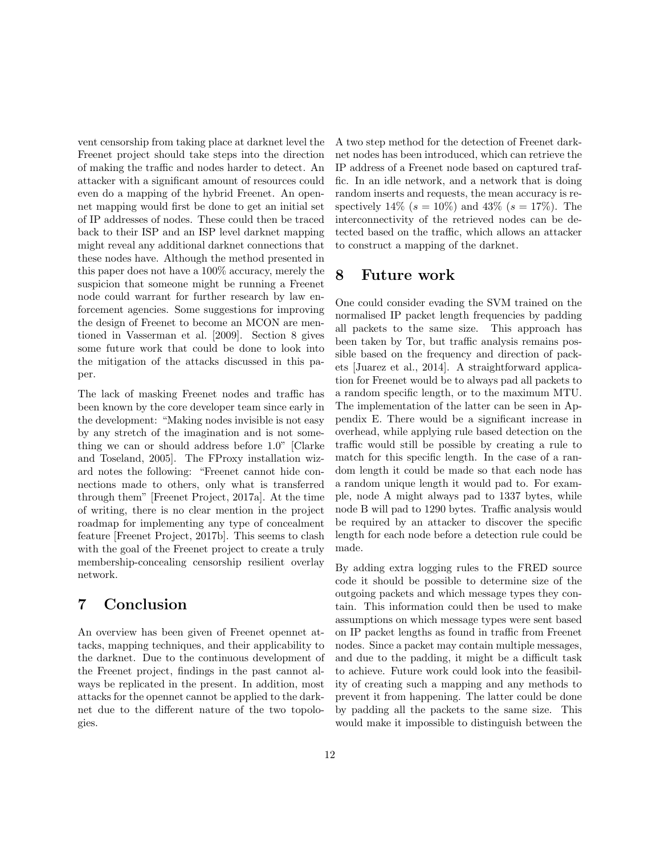<span id="page-11-2"></span>vent censorship from taking place at darknet level the Freenet project should take steps into the direction of making the traffic and nodes harder to detect. An attacker with a significant amount of resources could even do a mapping of the hybrid Freenet. An opennet mapping would first be done to get an initial set of [IP](#page-12-2) addresses of nodes. These could then be traced back to their [ISP](#page-12-13) and an [ISP](#page-12-13) level darknet mapping might reveal any additional darknet connections that these nodes have. Although the method presented in this paper does not have a 100% accuracy, merely the suspicion that someone might be running a Freenet node could warrant for further research by law enforcement agencies. Some suggestions for improving the design of Freenet to become an [MCON](#page-12-11) are mentioned in [Vasserman et al.](#page-14-7) [\[2009\]](#page-14-7). Section [8](#page-11-1) gives some future work that could be done to look into the mitigation of the attacks discussed in this paper.

The lack of masking Freenet nodes and traffic has been known by the core developer team since early in the development: "Making nodes invisible is not easy by any stretch of the imagination and is not something we can or should address before 1.0" [\[Clarke](#page-13-16) [and Toseland, 2005\]](#page-13-16). The FProxy installation wizard notes the following: "Freenet cannot hide connections made to others, only what is transferred through them" [\[Freenet Project, 2017a\]](#page-14-12). At the time of writing, there is no clear mention in the project roadmap for implementing any type of concealment feature [\[Freenet Project, 2017b\]](#page-14-13). This seems to clash with the goal of the Freenet project to create a truly membership-concealing censorship resilient overlay network.

# <span id="page-11-0"></span>7 Conclusion

An overview has been given of Freenet opennet attacks, mapping techniques, and their applicability to the darknet. Due to the continuous development of the Freenet project, findings in the past cannot always be replicated in the present. In addition, most attacks for the opennet cannot be applied to the darknet due to the different nature of the two topologies.

A two step method for the detection of Freenet darknet nodes has been introduced, which can retrieve the [IP](#page-12-2) address of a Freenet node based on captured traffic. In an idle network, and a network that is doing random inserts and requests, the mean accuracy is respectively 14% ( $s = 10\%$ ) and 43% ( $s = 17\%$ ). The interconnectivity of the retrieved nodes can be detected based on the traffic, which allows an attacker to construct a mapping of the darknet.

### <span id="page-11-1"></span>8 Future work

One could consider evading the [SVM](#page-12-15) trained on the normalised [IP](#page-12-2) packet length frequencies by padding all packets to the same size. This approach has been taken by [Tor,](#page-13-15) but traffic analysis remains possible based on the frequency and direction of packets [\[Juarez et al., 2014\]](#page-14-14). A straightforward application for Freenet would be to always pad all packets to a random specific length, or to the maximum [MTU.](#page-12-17) The implementation of the latter can be seen in Appendix [E.](#page-17-1) There would be a significant increase in overhead, while applying rule based detection on the traffic would still be possible by creating a rule to match for this specific length. In the case of a random length it could be made so that each node has a random unique length it would pad to. For example, node A might always pad to 1337 bytes, while node B will pad to 1290 bytes. Traffic analysis would be required by an attacker to discover the specific length for each node before a detection rule could be made.

By adding extra logging rules to the [FRED](#page-12-3) source code it should be possible to determine size of the outgoing packets and which message types they contain. This information could then be used to make assumptions on which message types were sent based on [IP](#page-12-2) packet lengths as found in traffic from Freenet nodes. Since a packet may contain multiple messages, and due to the padding, it might be a difficult task to achieve. Future work could look into the feasibility of creating such a mapping and any methods to prevent it from happening. The latter could be done by padding all the packets to the same size. This would make it impossible to distinguish between the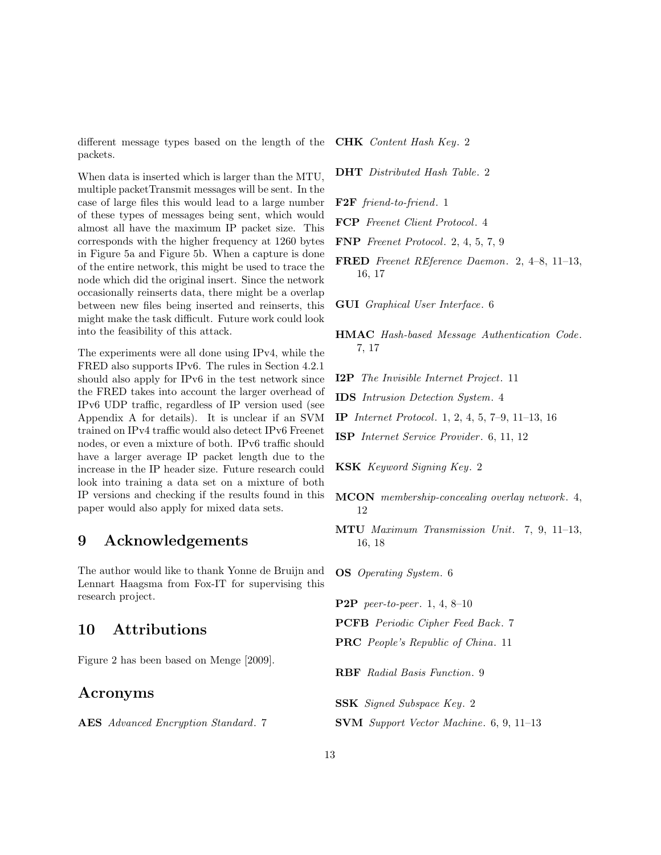<span id="page-12-23"></span>different message types based on the length of the packets.

When data is inserted which is larger than the [MTU,](#page-12-17) multiple packetTransmit messages will be sent. In the case of large files this would lead to a large number of these types of messages being sent, which would almost all have the maximum [IP](#page-12-2) packet size. This corresponds with the higher frequency at 1260 bytes in Figure [5a](#page-7-1) and Figure [5b.](#page-7-1) When a capture is done of the entire network, this might be used to trace the node which did the original insert. Since the network occasionally reinserts data, there might be a overlap between new files being inserted and reinserts, this might make the task difficult. Future work could look into the feasibility of this attack.

The experiments were all done using IPv4, while the [FRED](#page-12-3) also supports IPv6. The rules in Section [4.2.1](#page-5-7) should also apply for IPv6 in the test network since the [FRED](#page-12-3) takes into account the larger overhead of IPv6 [UDP](#page-13-4) traffic, regardless of [IP](#page-12-2) version used (see Appendix [A](#page-15-0) for details). It is unclear if an [SVM](#page-12-15) trained on IPv4 traffic would also detect IPv6 Freenet nodes, or even a mixture of both. IPv6 traffic should have a larger average [IP](#page-12-2) packet length due to the increase in the [IP](#page-12-2) header size. Future research could look into training a data set on a mixture of both [IP](#page-12-2) versions and checking if the results found in this paper would also apply for mixed data sets.

### 9 Acknowledgements

The author would like to thank Yonne de Bruijn and Lennart Haagsma from Fox-IT for supervising this research project.

### 10 Attributions

Figure [2](#page-2-1) has been based on [Menge](#page-14-15) [\[2009\]](#page-14-15).

# Acronyms

<span id="page-12-18"></span>AES Advanced Encryption Standard. [7](#page-6-1)

<span id="page-12-6"></span>CHK Content Hash Key. [2](#page-1-3)

- <span id="page-12-5"></span>DHT Distributed Hash Table. [2](#page-1-3)
- <span id="page-12-1"></span>F2F friend-to-friend. [1](#page-0-0)
- <span id="page-12-10"></span>FCP Freenet Client Protocol. [4](#page-3-5)
- <span id="page-12-4"></span>FNP Freenet Protocol. [2,](#page-1-3) [4,](#page-3-5) [5,](#page-4-3) [7,](#page-6-1) [9](#page-8-5)
- <span id="page-12-3"></span>FRED Freenet REference Daemon. [2,](#page-1-3) [4–](#page-3-5)[8,](#page-7-2) [11–](#page-10-1)[13,](#page-12-23) [16,](#page-15-1) [17](#page-16-2)
- <span id="page-12-14"></span>GUI Graphical User Interface. [6](#page-5-8)
- <span id="page-12-16"></span>HMAC Hash-based Message Authentication Code. [7,](#page-6-1) [17](#page-16-2)
- <span id="page-12-22"></span>I2P The Invisible Internet Project. [11](#page-10-1)
- <span id="page-12-9"></span>IDS Intrusion Detection System. [4](#page-3-5)
- <span id="page-12-2"></span>IP Internet Protocol. [1,](#page-0-0) [2,](#page-1-3) [4,](#page-3-5) [5,](#page-4-3) [7–](#page-6-1)[9,](#page-8-5) [11–](#page-10-1)[13,](#page-12-23) [16](#page-15-1)
- <span id="page-12-13"></span>ISP Internet Service Provider . [6,](#page-5-8) [11,](#page-10-1) [12](#page-11-2)
- <span id="page-12-7"></span>KSK Keyword Signing Key. [2](#page-1-3)
- <span id="page-12-11"></span>MCON membership-concealing overlay network. [4,](#page-3-5) [12](#page-11-2)
- <span id="page-12-17"></span>MTU Maximum Transmission Unit. [7,](#page-6-1) [9,](#page-8-5) [11–](#page-10-1)[13,](#page-12-23) [16,](#page-15-1) [18](#page-17-2)

<span id="page-12-12"></span>OS Operating System. [6](#page-5-8)

<span id="page-12-0"></span>**P2P** peer-to-peer. [1,](#page-0-0) [4,](#page-3-5) 8-[10](#page-9-4)

- <span id="page-12-19"></span>PCFB Periodic Cipher Feed Back. [7](#page-6-1)
- <span id="page-12-21"></span>PRC People's Republic of China. [11](#page-10-1)
- <span id="page-12-20"></span>RBF Radial Basis Function. [9](#page-8-5)
- <span id="page-12-8"></span>SSK Signed Subspace Key. [2](#page-1-3)
- <span id="page-12-15"></span>SVM Support Vector Machine. [6,](#page-5-8) [9,](#page-8-5) [11–](#page-10-1)[13](#page-12-23)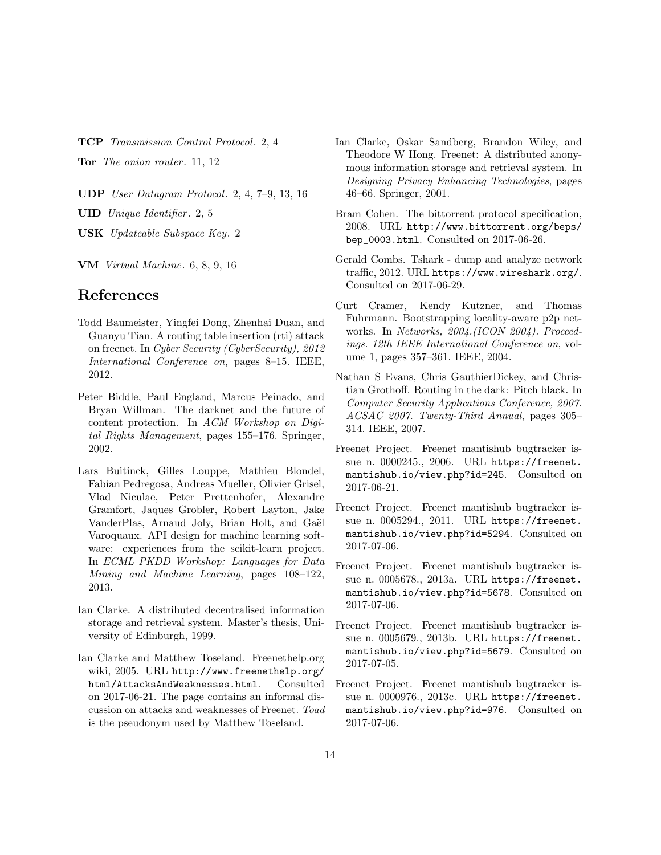<span id="page-13-3"></span>TCP Transmission Control Protocol. [2,](#page-1-3) [4](#page-3-5)

<span id="page-13-15"></span>Tor The onion router. [11,](#page-10-1) [12](#page-11-2)

<span id="page-13-4"></span>UDP User Datagram Protocol. [2,](#page-1-3) [4,](#page-3-5) [7–](#page-6-1)[9,](#page-8-5) [13,](#page-12-23) [16](#page-15-1)

<span id="page-13-5"></span>UID Unique Identifier. [2,](#page-1-3) [5](#page-4-3)

<span id="page-13-6"></span>USK Updateable Subspace Key. [2](#page-1-3)

<span id="page-13-10"></span>VM Virtual Machine. [6,](#page-5-8) [8,](#page-7-2) [9,](#page-8-5) [16](#page-15-1)

### References

- <span id="page-13-9"></span>Todd Baumeister, Yingfei Dong, Zhenhai Duan, and Guanyu Tian. A routing table insertion (rti) attack on freenet. In Cyber Security (CyberSecurity), 2012 International Conference on, pages 8–15. IEEE, 2012.
- <span id="page-13-1"></span>Peter Biddle, Paul England, Marcus Peinado, and Bryan Willman. The darknet and the future of content protection. In ACM Workshop on Digital Rights Management, pages 155–176. Springer, 2002.
- <span id="page-13-14"></span>Lars Buitinck, Gilles Louppe, Mathieu Blondel, Fabian Pedregosa, Andreas Mueller, Olivier Grisel, Vlad Niculae, Peter Prettenhofer, Alexandre Gramfort, Jaques Grobler, Robert Layton, Jake VanderPlas, Arnaud Joly, Brian Holt, and Gaël Varoquaux. API design for machine learning software: experiences from the scikit-learn project. In ECML PKDD Workshop: Languages for Data Mining and Machine Learning, pages 108–122, 2013.
- <span id="page-13-2"></span>Ian Clarke. A distributed decentralised information storage and retrieval system. Master's thesis, University of Edinburgh, 1999.
- <span id="page-13-16"></span>Ian Clarke and Matthew Toseland. Freenethelp.org wiki, 2005. URL [http://www.freenethelp.org/](http://www.freenethelp.org/html/AttacksAndWeaknesses.html) [html/AttacksAndWeaknesses.html](http://www.freenethelp.org/html/AttacksAndWeaknesses.html). Consulted on 2017-06-21. The page contains an informal discussion on attacks and weaknesses of Freenet. Toad is the pseudonym used by Matthew Toseland.
- <span id="page-13-0"></span>Ian Clarke, Oskar Sandberg, Brandon Wiley, and Theodore W Hong. Freenet: A distributed anonymous information storage and retrieval system. In Designing Privacy Enhancing Technologies, pages 46–66. Springer, 2001.
- <span id="page-13-12"></span>Bram Cohen. The bittorrent protocol specification, 2008. URL [http://www.bittorrent.org/beps/](http://www.bittorrent.org/beps/bep_0003.html) [bep\\_0003.html](http://www.bittorrent.org/beps/bep_0003.html). Consulted on 2017-06-26.
- <span id="page-13-13"></span>Gerald Combs. Tshark - dump and analyze network traffic, 2012. URL <https://www.wireshark.org/>. Consulted on 2017-06-29.
- <span id="page-13-7"></span>Curt Cramer, Kendy Kutzner, and Thomas Fuhrmann. Bootstrapping locality-aware p2p networks. In Networks, 2004.(ICON 2004). Proceedings. 12th IEEE International Conference on, volume 1, pages 357–361. IEEE, 2004.
- <span id="page-13-8"></span>Nathan S Evans, Chris GauthierDickey, and Christian Grothoff. Routing in the dark: Pitch black. In Computer Security Applications Conference, 2007. ACSAC 2007. Twenty-Third Annual, pages 305– 314. IEEE, 2007.
- <span id="page-13-11"></span>Freenet Project. Freenet mantishub bugtracker issue n. 0000245., 2006. URL [https://freenet.](https://freenet.mantishub.io/view.php?id=245) [mantishub.io/view.php?id=245](https://freenet.mantishub.io/view.php?id=245). Consulted on 2017-06-21.
- <span id="page-13-18"></span>Freenet Project. Freenet mantishub bugtracker issue n. 0005294., 2011. URL [https://freenet.](https://freenet.mantishub.io/view.php?id=5294) [mantishub.io/view.php?id=5294](https://freenet.mantishub.io/view.php?id=5294). Consulted on 2017-07-06.
- <span id="page-13-19"></span>Freenet Project. Freenet mantishub bugtracker issue n. 0005678., 2013a. URL [https://freenet.](https://freenet.mantishub.io/view.php?id=5678) [mantishub.io/view.php?id=5678](https://freenet.mantishub.io/view.php?id=5678). Consulted on 2017-07-06.
- <span id="page-13-17"></span>Freenet Project. Freenet mantishub bugtracker issue n. 0005679., 2013b. URL [https://freenet.](https://freenet.mantishub.io/view.php?id=5679) [mantishub.io/view.php?id=5679](https://freenet.mantishub.io/view.php?id=5679). Consulted on 2017-07-05.
- <span id="page-13-20"></span>Freenet Project. Freenet mantishub bugtracker issue n. 0000976., 2013c. URL [https://freenet.](https://freenet.mantishub.io/view.php?id=976) [mantishub.io/view.php?id=976](https://freenet.mantishub.io/view.php?id=976). Consulted on 2017-07-06.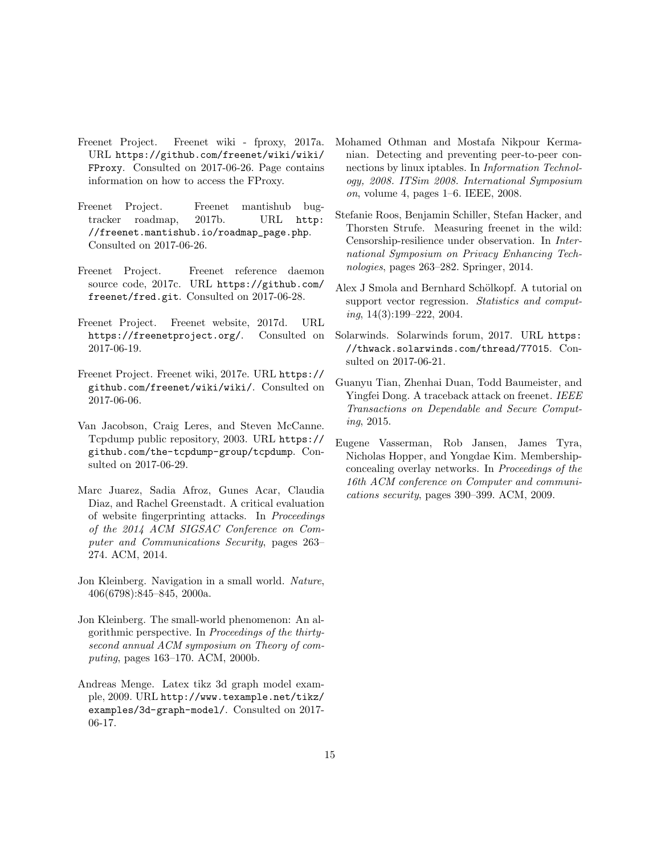- <span id="page-14-12"></span>Freenet Project. Freenet wiki - fproxy, 2017a. URL [https://github.com/freenet/wiki/wiki/](https://github.com/freenet/wiki/wiki/FProxy) [FProxy](https://github.com/freenet/wiki/wiki/FProxy). Consulted on 2017-06-26. Page contains information on how to access the FProxy.
- <span id="page-14-13"></span>Freenet Project. Freenet mantishub bugtracker roadmap, 2017b. URL [http:](http://freenet.mantishub.io/roadmap_page.php) [//freenet.mantishub.io/roadmap\\_page.php](http://freenet.mantishub.io/roadmap_page.php). Consulted on 2017-06-26.
- <span id="page-14-9"></span>Freenet Project. Freenet reference daemon source code, 2017c. URL [https://github.com/](https://github.com/freenet/fred.git) [freenet/fred.git](https://github.com/freenet/fred.git). Consulted on 2017-06-28.
- <span id="page-14-2"></span>Freenet Project. Freenet website, 2017d. URL <https://freenetproject.org/>. Consulted on 2017-06-19.
- <span id="page-14-1"></span>Freenet Project. Freenet wiki, 2017e. URL [https://](https://github.com/freenet/wiki/wiki/) [github.com/freenet/wiki/wiki/](https://github.com/freenet/wiki/wiki/). Consulted on 2017-06-06.
- <span id="page-14-11"></span>Van Jacobson, Craig Leres, and Steven McCanne. Tcpdump public repository, 2003. URL [https://](https://github.com/the-tcpdump-group/tcpdump) [github.com/the-tcpdump-group/tcpdump](https://github.com/the-tcpdump-group/tcpdump). Consulted on 2017-06-29.
- <span id="page-14-14"></span>Marc Juarez, Sadia Afroz, Gunes Acar, Claudia Diaz, and Rachel Greenstadt. A critical evaluation of website fingerprinting attacks. In Proceedings of the 2014 ACM SIGSAC Conference on Computer and Communications Security, pages 263– 274. ACM, 2014.
- <span id="page-14-4"></span>Jon Kleinberg. Navigation in a small world. Nature, 406(6798):845–845, 2000a.
- <span id="page-14-3"></span>Jon Kleinberg. The small-world phenomenon: An algorithmic perspective. In Proceedings of the thirtysecond annual ACM symposium on Theory of computing, pages 163–170. ACM, 2000b.
- <span id="page-14-15"></span>Andreas Menge. Latex tikz 3d graph model example, 2009. URL [http://www.texample.net/tikz/](http://www.texample.net/tikz/examples/3d-graph-model/) [examples/3d-graph-model/](http://www.texample.net/tikz/examples/3d-graph-model/). Consulted on 2017- 06-17.
- <span id="page-14-5"></span>Mohamed Othman and Mostafa Nikpour Kermanian. Detecting and preventing peer-to-peer connections by linux iptables. In Information Technology, 2008. ITSim 2008. International Symposium on, volume 4, pages 1–6. IEEE, 2008.
- <span id="page-14-0"></span>Stefanie Roos, Benjamin Schiller, Stefan Hacker, and Thorsten Strufe. Measuring freenet in the wild: Censorship-resilience under observation. In International Symposium on Privacy Enhancing Technologies, pages 263–282. Springer, 2014.
- <span id="page-14-10"></span>Alex J Smola and Bernhard Schölkopf. A tutorial on support vector regression. Statistics and computing, 14(3):199–222, 2004.
- <span id="page-14-6"></span>Solarwinds. Solarwinds forum, 2017. URL [https:](https://thwack.solarwinds.com/thread/77015) [//thwack.solarwinds.com/thread/77015](https://thwack.solarwinds.com/thread/77015). Consulted on 2017-06-21.
- <span id="page-14-8"></span>Guanyu Tian, Zhenhai Duan, Todd Baumeister, and Yingfei Dong. A traceback attack on freenet. IEEE Transactions on Dependable and Secure Computing, 2015.
- <span id="page-14-7"></span>Eugene Vasserman, Rob Jansen, James Tyra, Nicholas Hopper, and Yongdae Kim. Membershipconcealing overlay networks. In Proceedings of the 16th ACM conference on Computer and communications security, pages 390–399. ACM, 2009.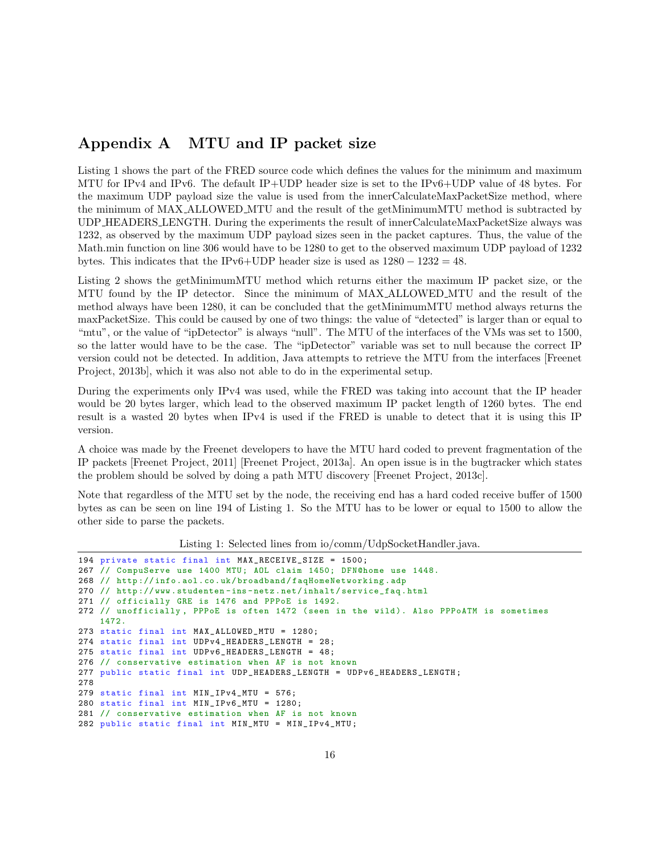# <span id="page-15-1"></span><span id="page-15-0"></span>Appendix A [MTU](#page-12-17) and [IP](#page-12-2) packet size

Listing [1](#page-15-2) shows the part of the [FRED](#page-12-3) source code which defines the values for the minimum and maximum [MTU](#page-12-17) for IPv4 and IPv6. The default [IP+](#page-12-2)[UDP](#page-13-4) header size is set to the IPv6[+UDP](#page-13-4) value of 48 bytes. For the maximum [UDP](#page-13-4) payload size the value is used from the innerCalculateMaxPacketSize method, where the minimum of MAX ALLOWED MTU and the result of the getMinimumMTU method is subtracted by UDP HEADERS LENGTH. During the experiments the result of innerCalculateMaxPacketSize always was 1232, as observed by the maximum [UDP](#page-13-4) payload sizes seen in the packet captures. Thus, the value of the Math.min function on line 306 would have to be 1280 to get to the observed maximum [UDP](#page-13-4) payload of 1232 bytes. This indicates that the IPv6[+UDP](#page-13-4) header size is used as  $1280 - 1232 = 48$ .

Listing [2](#page-16-3) shows the getMinimumMTU method which returns either the maximum [IP](#page-12-2) packet size, or the [MTU](#page-12-17) found by the [IP](#page-12-2) detector. Since the minimum of MAX ALLOWED MTU and the result of the method always have been 1280, it can be concluded that the getMinimumMTU method always returns the maxPacketSize. This could be caused by one of two things: the value of "detected" is larger than or equal to "mtu", or the value of "ipDetector" is always "null". The [MTU](#page-12-17) of the interfaces of the [VMs](#page-13-10) was set to 1500, so the latter would have to be the case. The "ipDetector" variable was set to null because the correct [IP](#page-12-2) version could not be detected. In addition, Java attempts to retrieve the [MTU](#page-12-17) from the interfaces [\[Freenet](#page-13-17) [Project, 2013b\]](#page-13-17), which it was also not able to do in the experimental setup.

During the experiments only IPv4 was used, while the [FRED](#page-12-3) was taking into account that the [IP](#page-12-2) header would be 20 bytes larger, which lead to the observed maximum [IP](#page-12-2) packet length of 1260 bytes. The end result is a wasted 20 bytes when IPv4 is used if the [FRED](#page-12-3) is unable to detect that it is using this [IP](#page-12-2) version.

A choice was made by the Freenet developers to have the [MTU](#page-12-17) hard coded to prevent fragmentation of the [IP](#page-12-2) packets [\[Freenet Project, 2011\]](#page-13-18) [\[Freenet Project, 2013a\]](#page-13-19). An open issue is in the bugtracker which states the problem should be solved by doing a path [MTU](#page-12-17) discovery [\[Freenet Project, 2013c\]](#page-13-20).

Note that regardless of the [MTU](#page-12-17) set by the node, the receiving end has a hard coded receive buffer of 1500 bytes as can be seen on line 194 of Listing [1.](#page-15-2) So the [MTU](#page-12-17) has to be lower or equal to 1500 to allow the other side to parse the packets.

Listing 1: Selected lines from io/comm/UdpSocketHandler.java.

```
194 private static final int MAX_RECEIVE_SIZE = 1500;
267 // CompuServe use 1400 MTU; AOL claim 1450; DFN@home use 1448.
268 // http :// info . aol .co.uk/ broadband / faqHomeNetworking . adp
270 // http :// www . studenten -ins - netz . net / inhalt / service_faq . html
271 // officially GRE is 1476 and PPPoE is 1492.
272 // unofficially , PPPoE is often 1472 ( seen in the wild ). Also PPPoATM is sometimes
    1472.
273 static final int MAX_ALLOWED_MTU = 1280;
274 static final int UDPv4_HEADERS_LENGTH = 28;
275 static final int UDPv6_HEADERS_LENGTH = 48;
276 // conservative estimation when AF is not known
277 public static final int UDP_HEADERS_LENGTH = UDPv6_HEADERS_LENGTH;
278
279 static final int MIN_IPv4_MTU = 576;
280 static final int MIN_IPv6_MTU = 1280;
281 // conservative estimation when AF is not known
282 public static final int MIN_MTU = MIN_IPv4_MTU ;
```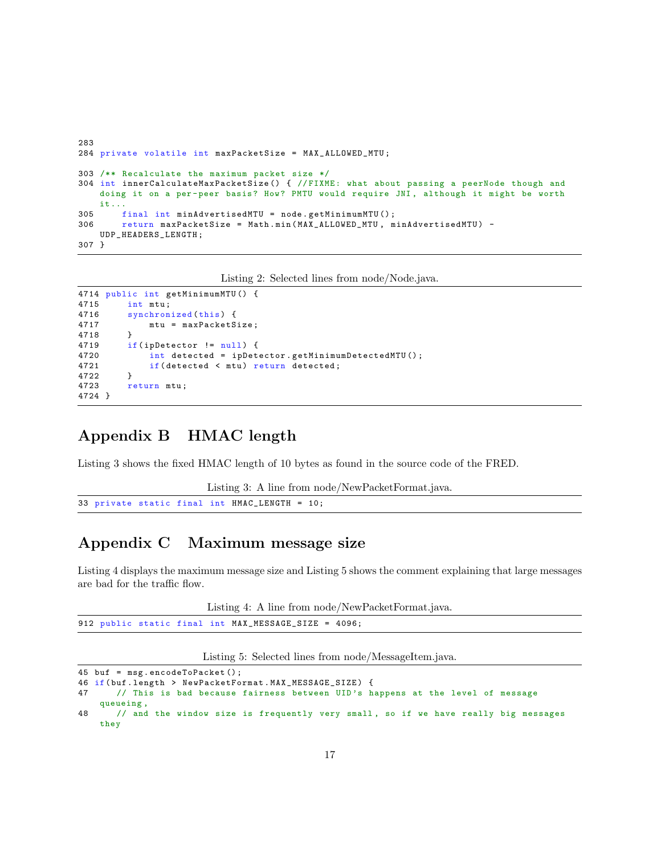```
283
284 private volatile int maxPacketSize = MAX_ALLOWED_MTU ;
303 /** Recalculate the maximum packet size */
304 int innerCalculateMaxPacketSize () { // FIXME : what about passing a peerNode though and
    doing it on a per-peer basis? How? PMTU would require JNI, although it might be worth
    it ...
305 final int minAdvertisedMTU = node . getMinimumMTU () ;
306 return maxPacketSize = Math . min ( MAX_ALLOWED_MTU , minAdvertisedMTU ) -
    UDP_HEADERS_LENGTH ;
307 }
```
Listing 2: Selected lines from node/Node.java.

```
4714 public int getMinimumMTU () {
4715 int mtu ;
4716 synchronized (this) {
4717 mtu = maxPacketSize ;
4718 }
4719 if(ipDetector != null) {
4720 int detected = ipDetector . getMinimumDetectedMTU () ;
4721 if (detected < mtu) return detected;<br>4722 }
4722 }
4723 return mtu ;
4724 }
```
# <span id="page-16-0"></span>Appendix B [HMAC](#page-12-16) length

Listing [3](#page-16-4) shows the fixed [HMAC](#page-12-16) length of 10 bytes as found in the source code of the [FRED.](#page-12-3)

```
Listing 3: A line from node/NewPacketFormat.java.
33 private static final int HMAC_LENGTH = 10;
```
# <span id="page-16-1"></span>Appendix C Maximum message size

Listing [4](#page-16-5) displays the maximum message size and Listing [5](#page-16-6) shows the comment explaining that large messages are bad for the traffic flow.

Listing 4: A line from node/NewPacketFormat.java.

```
912 public static final int MAX_MESSAGE_SIZE = 4096;
```
Listing 5: Selected lines from node/MessageItem.java.

```
45 buf = msg . encodeToPacket () ;
46 if(buf.length > NewPacketFormat.MAX_MESSAGE_SIZE) {<br>47 // This is bad because fairness between UID's h
        47 // This is bad because fairness between UID 's happens at the level of message
    queueing ,
48 // and the window size is frequently very small , so if we have really big messages
    they
```